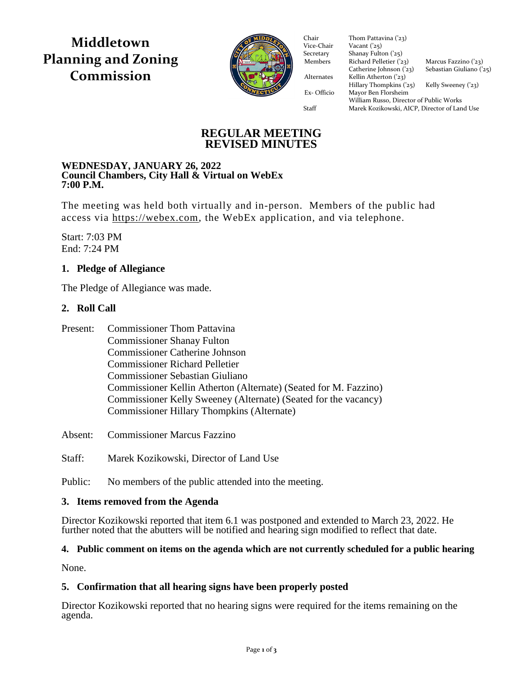**Middletown Planning and Zoning Commission**



Vice-Chair Vacant  $\binom{25}{3}$ Secretary Shanay Fulton ('25) Members Richard Pelletier  $(23)$  Marcus Fazzino  $(23)$ Catherine Johnson  $(23)$  Sebastian Giuliano  $(25)$ Alternates Kellin Atherton ('23)  $Hillary Thompson (25)$  Kelly Sweeney ('23) Ex- Officio Mayor Ben Florsheim Ex- Officio Mayor Ben Florsheim Chair Thom Pattavina ('23)<br>Vice-Chair Vacant ('25) William Russo, Director of Public Works Staff Marek Kozikowski, AICP, Director of Land Use

## **REGULAR MEETING REVISED MINUTES**

#### **WEDNESDAY, JANUARY 26, 2022 Council Chambers, City Hall & Virtual on WebEx 7:00 P.M.**

The meeting was held both virtually and in-person. Members of the public had access via [https://webex.com,](https://webex.com/) the WebEx application, and via telephone.

Start: 7:03 PM End: 7:24 PM

## **1. Pledge of Allegiance**

The Pledge of Allegiance was made.

## **2. Roll Call**

| Present: | <b>Commissioner Thom Pattavina</b>                               |
|----------|------------------------------------------------------------------|
|          | <b>Commissioner Shanay Fulton</b>                                |
|          | <b>Commissioner Catherine Johnson</b>                            |
|          | <b>Commissioner Richard Pelletier</b>                            |
|          | <b>Commissioner Sebastian Giuliano</b>                           |
|          | Commissioner Kellin Atherton (Alternate) (Seated for M. Fazzino) |
|          | Commissioner Kelly Sweeney (Alternate) (Seated for the vacancy)  |
|          | <b>Commissioner Hillary Thompkins (Alternate)</b>                |

Absent: Commissioner Marcus Fazzino

Staff: Marek Kozikowski, Director of Land Use

Public: No members of the public attended into the meeting.

## **3. Items removed from the Agenda**

Director Kozikowski reported that item 6.1 was postponed and extended to March 23, 2022. He further noted that the abutters will be notified and hearing sign modified to reflect that date.

## **4. Public comment on items on the agenda which are not currently scheduled for a public hearing**

None.

## **5. Confirmation that all hearing signs have been properly posted**

Director Kozikowski reported that no hearing signs were required for the items remaining on the agenda.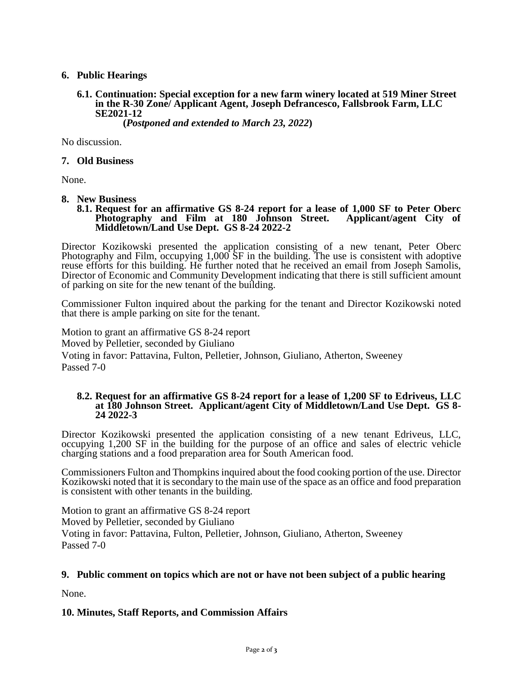### **6. Public Hearings**

**6.1. Continuation: Special exception for a new farm winery located at 519 Miner Street in the R-30 Zone/ Applicant Agent, Joseph Defrancesco, Fallsbrook Farm, LLC SE2021-12 (***Postponed and extended to March 23, 2022***)**

No discussion.

#### **7. Old Business**

None.

#### **8. New Business**

**8.1. Request for an affirmative GS 8-24 report for a lease of 1,000 SF to Peter Oberc**  Photography and Film at 180 Johnson Street. **Middletown/Land Use Dept. GS 8-24 2022-2**

Director Kozikowski presented the application consisting of a new tenant, Peter Oberc Photography and Film, occupying 1,000 SF in the building. The use is consistent with adoptive reuse efforts for this building. He further noted that he received an email from Joseph Samolis, Director of Economic and Community Development indicating that there is still sufficient amount of parking on site for the new tenant of the building.

Commissioner Fulton inquired about the parking for the tenant and Director Kozikowski noted that there is ample parking on site for the tenant.

Motion to grant an affirmative GS 8-24 report Moved by Pelletier, seconded by Giuliano Voting in favor: Pattavina, Fulton, Pelletier, Johnson, Giuliano, Atherton, Sweeney Passed 7-0

#### **8.2. Request for an affirmative GS 8-24 report for a lease of 1,200 SF to Edriveus, LLC at 180 Johnson Street. Applicant/agent City of Middletown/Land Use Dept. GS 8- 24 2022-3**

Director Kozikowski presented the application consisting of a new tenant Edriveus, LLC, occupying 1,200 SF in the building for the purpose of an office and sales of electric vehicle charging stations and a food preparation area for South American food.

Commissioners Fulton and Thompkins inquired about the food cooking portion of the use. Director Kozikowski noted that it is secondary to the main use of the space as an office and food preparation is consistent with other tenants in the building.

Motion to grant an affirmative GS 8-24 report Moved by Pelletier, seconded by Giuliano Voting in favor: Pattavina, Fulton, Pelletier, Johnson, Giuliano, Atherton, Sweeney Passed 7-0

#### **9. Public comment on topics which are not or have not been subject of a public hearing**

None.

**10. Minutes, Staff Reports, and Commission Affairs**